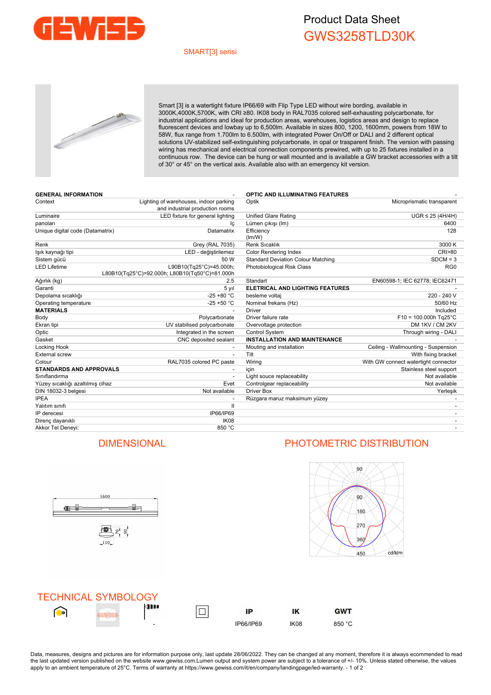

# Product Data Sheet GWS3258TLD30K

### SMART[3] serisi



Smart [3] is a watertight fixture IP66/69 with Flip Type LED without wire bording, available in 3000K,4000K,5700K, with CRI ≥80. IK08 body in RAL7035 colored self-exhausting polycarbonate, for industrial applications and ideal for production areas, warehouses, logistics areas and design to replace fluorescent devices and lowbay up to 6,500lm. Available in sizes 800, 1200, 1600mm, powers from 18W to 58W, flux range from 1.700lm to 6.500lm, with integrated Power On/Off or DALI and 2 different optical solutions UV-stabilized self-extinguishing polycarbonate, in opal or trasparent finish. The version with passing wiring has mechanical and electrical connection components prewired, with up to 25 fixtures installed in a continuous row. The device can be hung or wall mounted and is available a GW bracket accessories with a tilt of 30° or 45° on the vertical axis. Available also with an emergency kit version.

| <b>GENERAL INFORMATION</b>       |                                                                           | <b>OPTIC AND ILLUMINATING FEATURES</b>    |                                      |
|----------------------------------|---------------------------------------------------------------------------|-------------------------------------------|--------------------------------------|
| Context                          | Lighting of warehouses, indoor parking<br>and industrial production rooms | Microprismatic transparent<br>Optik       |                                      |
| Luminaire                        | LED fixture for general lighting                                          | <b>Unified Glare Rating</b>               | $UGR \leq 25 (4H/4H)$                |
| panoları                         | Ιc                                                                        | Lümen çıkışı (Im)                         | 6400                                 |
| Unique digital code (Datamatrix) | Datamatrix                                                                | Efficiency<br>(lm/W)                      | 128                                  |
| Renk                             | Grey (RAL 7035)                                                           | Renk Sıcaklık                             | 3000 K                               |
| lşık kaynağı tipi                | LED - değiştirilemez                                                      | <b>Color Rendering Index</b>              | <b>CRI&gt;80</b>                     |
| Sistem gücü                      | 50 W                                                                      | <b>Standard Deviation Colour Matching</b> | $SDCM = 3$                           |
| <b>LED Lifetime</b>              | L90B10(Tq25°C)=45.000h;<br>L80B10(Tg25°C)=92.000h; L80B10(Tg50°C)=81.000h | Photobiological Risk Class                | RG <sub>0</sub>                      |
| Ağırlık (kg)                     | 2.5                                                                       | Standart                                  | EN60598-1; IEC 62778; IEC62471       |
| Garanti                          | 5 yıl                                                                     | <b>ELETRICAL AND LIGHTING FEATURES</b>    |                                      |
| Depolama sıcaklığı               | $-25 + 80 °C$                                                             | besleme voltaj                            | 220 - 240 V                          |
| Operating temperature            | $-25 + 50 °C$                                                             | Nominal frekans (Hz)                      | 50/60 Hz                             |
| <b>MATERIALS</b>                 |                                                                           | <b>Driver</b>                             | Included                             |
| Body                             | Polycarbonate                                                             | Driver failure rate                       | $F10 = 100.000h$ Tg25°C              |
| Ekran tipi                       | UV stabilised polycarbonate                                               | Overvoltage protection                    | DM 1KV / CM 2KV                      |
| Optic                            | Integrated in the screen                                                  | <b>Control System</b>                     | Through wiring - DALI                |
| Gasket                           | CNC deposited sealant                                                     | <b>INSTALLATION AND MAINTENANCE</b>       |                                      |
| Locking Hook                     |                                                                           | Mouting and installation                  | Ceiling - Wallmounting - Suspension  |
| <b>External screw</b>            | $\overline{\phantom{a}}$                                                  | Tilt                                      | With fixing bracket                  |
| Colour                           | RAL7035 colored PC paste                                                  | Wiring                                    | With GW connect watertight connector |
| <b>STANDARDS AND APPROVALS</b>   |                                                                           | icin                                      | Stainless steel support              |
| Siniflandirma                    |                                                                           | Light souce replaceability                | Not available                        |
| Yüzey sıcaklığı azaltılmış cihaz | Evet                                                                      | Controlgear replaceability                | Not available                        |
| DIN 18032-3 belgesi              | Not available                                                             | Driver Box                                | Yerleşik                             |
| <b>IPEA</b>                      |                                                                           | Rüzgara maruz maksimum yüzey              |                                      |
| Yalıtım sınıfı                   | $\mathbf{I}$                                                              |                                           |                                      |
| IP derecesi                      | IP66/IP69                                                                 |                                           |                                      |
| Direnç dayanıklı                 | IK <sub>08</sub>                                                          |                                           |                                      |
| Akkor Tel Denevi:                | 850 °C                                                                    |                                           |                                      |



## DIMENSIONAL PHOTOMETRIC DISTRIBUTION



|            | <b>TECHNICAL SYMBOLOGY</b> |             |           |      |            |
|------------|----------------------------|-------------|-----------|------|------------|
| $\bigcirc$ |                            | <b>KIII</b> | IP        | ΙK   | <b>GWT</b> |
|            |                            | -           | IP66/IP69 | IK08 | 850 °C     |

Data, measures, designs and pictures are for information purpose only, last update 28/06/2022. They can be changed at any moment, therefore it is always ecommended to read the last updated version published on the website www.gewiss.com.Lumen output and system power are subject to a tolerance of +/- 10%. Unless stated otherwise, the values apply to an ambient temperature of 25°C. Terms of warranty at https://www.gewiss.com/it/en/company/landingpage/led-warranty. - 1 of 2